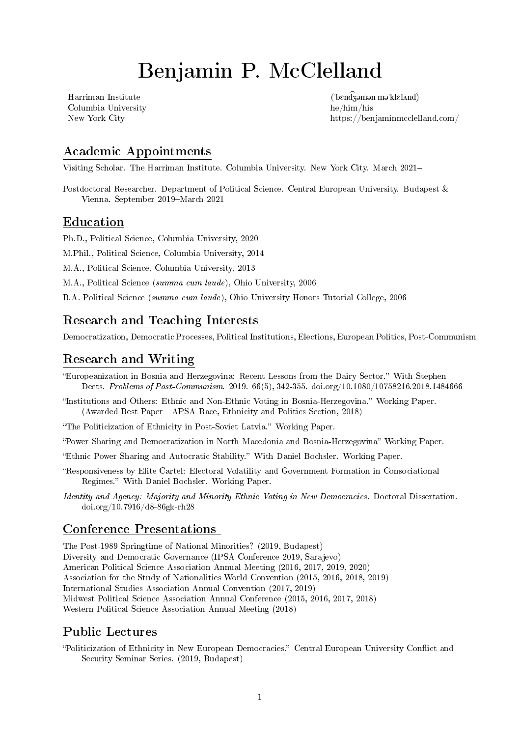# Benjamin P. McClelland

Harriman Institute Columbia University he/him/his

<span id="page-0-0"></span> $(\n 'ben\widehat{d}$ zəmən mə $'kleland)$ New York City<https://benjaminmcclelland.com/>

# Academic Appointments

Visiting Scholar. The Harriman Institute. Columbia University. New York City. March 2021

Postdoctoral Researcher. Department of Political Science. Central European University. Budapest & Vienna. September 2019-March 2021

## Education

Ph.D., Political Science, Columbia University, 2020

M.Phil., Political Science, Columbia University, 2014

M.A., Political Science, Columbia University, 2013

M.A., Political Science (summa cum laude), Ohio University, 2006

B.A. Political Science (summa cum laude), Ohio University Honors Tutorial College, 2006

# Research and Teaching Interests

Democratization, Democratic Processes, Political Institutions, Elections, European Politics, Post-Communism

# Research and Writing

- "Europeanization in Bosnia and Herzegovina: Recent Lessons from the Dairy Sector." With Stephen Deets. Problems of Post-Communism. 2019. 66(5), 342-355. [doi.org/10.1080/10758216.2018.1484666](https://doi.org/10.1080/10758216.2018.1484666)
- "Institutions and Others: Ethnic and Non-Ethnic Voting in Bosnia-Herzegovina." Working Paper. (Awarded Best Paper—APSA Race, Ethnicity and Politics Section, 2018)

"The Politicization of Ethnicity in Post-Soviet Latvia." Working Paper.

"Power Sharing and Democratization in North Macedonia and Bosnia-Herzegovina" Working Paper.

Ethnic Power Sharing and Autocratic Stability. With Daniel Bochsler. Working Paper.

- Responsiveness by Elite Cartel: Electoral Volatility and Government Formation in Consociational Regimes. With Daniel Bochsler. Working Paper.
- Identity and Agency: Majority and Minority Ethnic Voting in New Democracies. Doctoral Dissertation. [doi.org/10.7916/d8-86gk-rh28](https://doi.org/10.7916/d8-86gk-rh28)

## Conference Presentations

The Post-1989 Springtime of National Minorities? (2019, Budapest) Diversity and Democratic Governance (IPSA Conference 2019, Sarajevo) American Political Science Association Annual Meeting (2016, 2017, 2019, 2020) Association for the Study of Nationalities World Convention (2015, 2016, 2018, 2019) International Studies Association Annual Convention (2017, 2019) Midwest Political Science Association Annual Conference (2015, 2016, 2017, 2018) Western Political Science Association Annual Meeting (2018)

## Public Lectures

"Politicization of Ethnicity in New European Democracies." Central European University Conflict and Security Seminar Series. (2019, Budapest)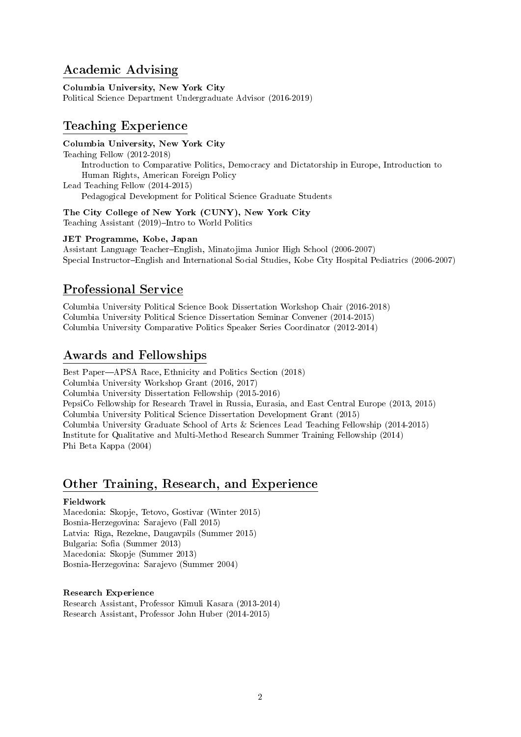# Academic Advising

Columbia University, New York City Political Science Department Undergraduate Advisor (2016-2019)

## Teaching Experience

#### Columbia University, New York City

Teaching Fellow (2012-2018) Introduction to Comparative Politics, Democracy and Dictatorship in Europe, Introduction to Human Rights, American Foreign Policy Lead Teaching Fellow (2014-2015) Pedagogical Development for Political Science Graduate Students

The City College of New York (CUNY), New York City Teaching Assistant (2019)-Intro to World Politics

#### JET Programme, Kobe, Japan

Assistant Language Teacher-English, Minatojima Junior High School (2006-2007) Special InstructorEnglish and International Social Studies, Kobe City Hospital Pediatrics (2006-2007)

# Professional Service

Columbia University Political Science Book Dissertation Workshop Chair (2016-2018) Columbia University Political Science Dissertation Seminar Convener (2014-2015) Columbia University Comparative Politics Speaker Series Coordinator (2012-2014)

## Awards and Fellowships

Best Paper—APSA Race, Ethnicity and Politics Section (2018) Columbia University Workshop Grant (2016, 2017) Columbia University Dissertation Fellowship (2015-2016) PepsiCo Fellowship for Research Travel in Russia, Eurasia, and East Central Europe (2013, 2015) Columbia University Political Science Dissertation Development Grant (2015) Columbia University Graduate School of Arts & Sciences Lead Teaching Fellowship (2014-2015) Institute for Qualitative and Multi-Method Research Summer Training Fellowship (2014) Phi Beta Kappa (2004)

# Other Training, Research, and Experience

#### Fieldwork

Macedonia: Skopje, Tetovo, Gostivar (Winter 2015) Bosnia-Herzegovina: Sarajevo (Fall 2015) Latvia: Riga, Rezekne, Daugavpils (Summer 2015) Bulgaria: Sofia (Summer 2013) Macedonia: Skopje (Summer 2013) Bosnia-Herzegovina: Sarajevo (Summer 2004)

#### Research Experience

Research Assistant, Professor Kimuli Kasara (2013-2014) Research Assistant, Professor John Huber (2014-2015)